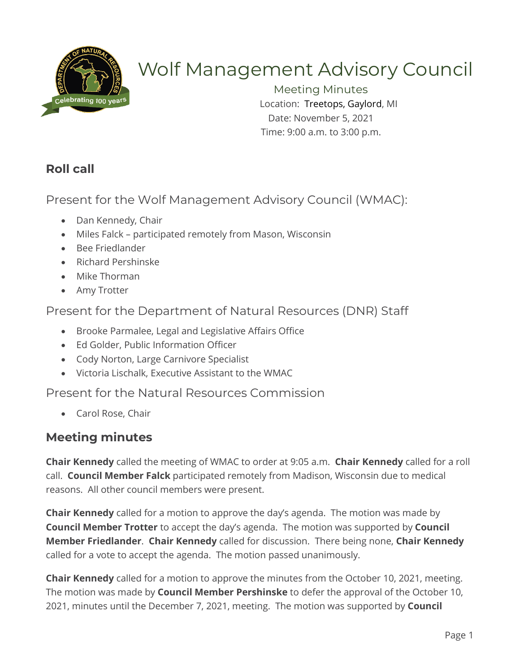

# Wolf Management Advisory Council

Meeting Minutes Location: Treetops, Gaylord, MI Date: November 5, 2021 Time: 9:00 a.m. to 3:00 p.m.

## **Roll call**

Present for the Wolf Management Advisory Council (WMAC):

- Dan Kennedy, Chair
- Miles Falck participated remotely from Mason, Wisconsin
- Bee Friedlander
- Richard Pershinske
- Mike Thorman
- Amy Trotter

Present for the Department of Natural Resources (DNR) Staff

- Brooke Parmalee, Legal and Legislative Affairs Office
- Ed Golder, Public Information Officer
- Cody Norton, Large Carnivore Specialist
- Victoria Lischalk, Executive Assistant to the WMAC

Present for the Natural Resources Commission

• Carol Rose, Chair

## **Meeting minutes**

**Chair Kennedy** called the meeting of WMAC to order at 9:05 a.m. **Chair Kennedy** called for a roll call. **Council Member Falck** participated remotely from Madison, Wisconsin due to medical reasons. All other council members were present.

**Chair Kennedy** called for a motion to approve the day's agenda. The motion was made by **Council Member Trotter** to accept the day's agenda. The motion was supported by **Council Member Friedlander**. **Chair Kennedy** called for discussion. There being none, **Chair Kennedy**  called for a vote to accept the agenda. The motion passed unanimously.

**Chair Kennedy** called for a motion to approve the minutes from the October 10, 2021, meeting. The motion was made by **Council Member Pershinske** to defer the approval of the October 10, 2021, minutes until the December 7, 2021, meeting. The motion was supported by **Council**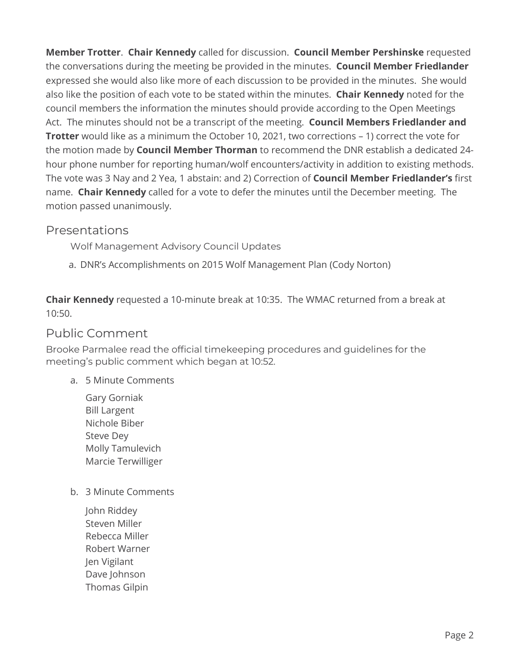**Member Trotter**. **Chair Kennedy** called for discussion. **Council Member Pershinske** requested the conversations during the meeting be provided in the minutes. **Council Member Friedlander**  expressed she would also like more of each discussion to be provided in the minutes. She would also like the position of each vote to be stated within the minutes. **Chair Kennedy** noted for the council members the information the minutes should provide according to the Open Meetings Act. The minutes should not be a transcript of the meeting. **Council Members Friedlander and Trotter** would like as a minimum the October 10, 2021, two corrections – 1) correct the vote for the motion made by **Council Member Thorman** to recommend the DNR establish a dedicated 24 hour phone number for reporting human/wolf encounters/activity in addition to existing methods. The vote was 3 Nay and 2 Yea, 1 abstain: and 2) Correction of **Council Member Friedlander's** first name. **Chair Kennedy** called for a vote to defer the minutes until the December meeting. The motion passed unanimously.

### Presentations

Wolf Management Advisory Council Updates

a. DNR's Accomplishments on 2015 Wolf Management Plan (Cody Norton)

**Chair Kennedy** requested a 10-minute break at 10:35. The WMAC returned from a break at 10:50.

#### Public Comment

Brooke Parmalee read the official timekeeping procedures and guidelines for the meeting's public comment which began at 10:52.

- a. 5 Minute Comments
	- Gary Gorniak Bill Largent Nichole Biber Steve Dey Molly Tamulevich Marcie Terwilliger
- b. 3 Minute Comments
	- John Riddey Steven Miller Rebecca Miller Robert Warner Jen Vigilant Dave Johnson Thomas Gilpin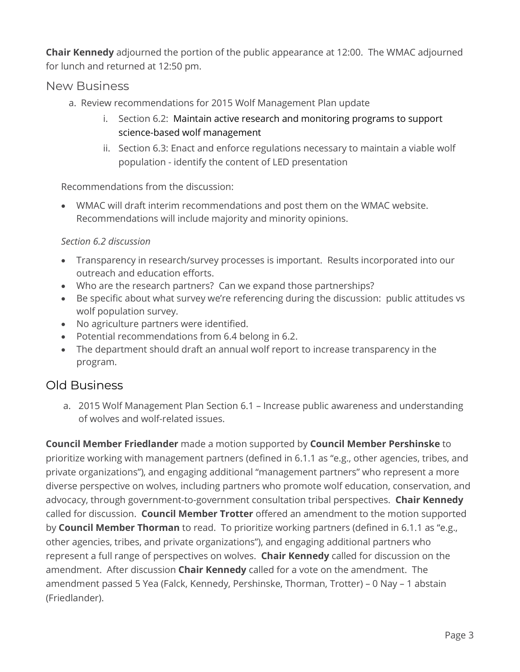**Chair Kennedy** adjourned the portion of the public appearance at 12:00. The WMAC adjourned for lunch and returned at 12:50 pm.

#### New Business

- a. Review recommendations for 2015 Wolf Management Plan update
	- i. Section 6.2: Maintain active research and monitoring programs to support science-based wolf management
	- ii. Section 6.3: Enact and enforce regulations necessary to maintain a viable wolf population - identify the content of LED presentation

Recommendations from the discussion:

• WMAC will draft interim recommendations and post them on the WMAC website. Recommendations will include majority and minority opinions.

#### *Section 6.2 discussion*

- Transparency in research/survey processes is important. Results incorporated into our outreach and education efforts.
- Who are the research partners? Can we expand those partnerships?
- Be specific about what survey we're referencing during the discussion: public attitudes vs wolf population survey.
- No agriculture partners were identified.
- Potential recommendations from 6.4 belong in 6.2.
- The department should draft an annual wolf report to increase transparency in the program.

## Old Business

a. 2015 Wolf Management Plan Section 6.1 – Increase public awareness and understanding of wolves and wolf-related issues.

**Council Member Friedlander** made a motion supported by **Council Member Pershinske** to prioritize working with management partners (defined in 6.1.1 as "e.g., other agencies, tribes, and private organizations"), and engaging additional "management partners" who represent a more diverse perspective on wolves, including partners who promote wolf education, conservation, and advocacy, through government-to-government consultation tribal perspectives. **Chair Kennedy** called for discussion. **Council Member Trotter** offered an amendment to the motion supported by **Council Member Thorman** to read. To prioritize working partners (defined in 6.1.1 as "e.g., other agencies, tribes, and private organizations"), and engaging additional partners who represent a full range of perspectives on wolves. **Chair Kennedy** called for discussion on the amendment. After discussion **Chair Kennedy** called for a vote on the amendment. The amendment passed 5 Yea (Falck, Kennedy, Pershinske, Thorman, Trotter) – 0 Nay – 1 abstain (Friedlander).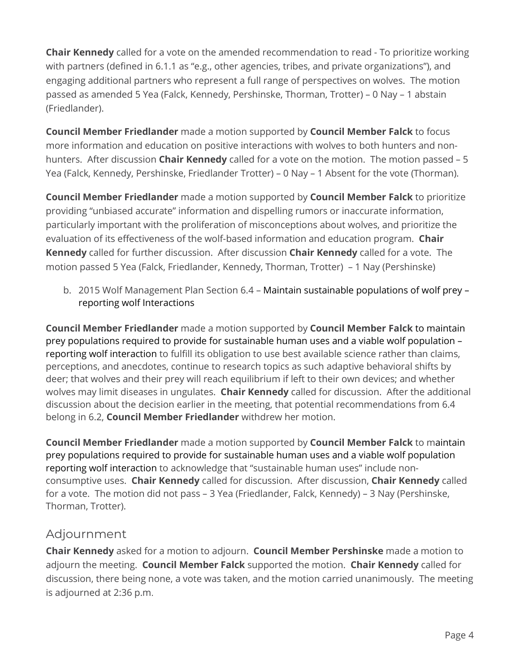**Chair Kennedy** called for a vote on the amended recommendation to read - To prioritize working with partners (defined in 6.1.1 as "e.g., other agencies, tribes, and private organizations"), and engaging additional partners who represent a full range of perspectives on wolves. The motion passed as amended 5 Yea (Falck, Kennedy, Pershinske, Thorman, Trotter) – 0 Nay – 1 abstain (Friedlander).

**Council Member Friedlander** made a motion supported by **Council Member Falck** to focus more information and education on positive interactions with wolves to both hunters and nonhunters. After discussion **Chair Kennedy** called for a vote on the motion. The motion passed – 5 Yea (Falck, Kennedy, Pershinske, Friedlander Trotter) – 0 Nay – 1 Absent for the vote (Thorman).

**Council Member Friedlander** made a motion supported by **Council Member Falck** to prioritize providing "unbiased accurate" information and dispelling rumors or inaccurate information, particularly important with the proliferation of misconceptions about wolves, and prioritize the evaluation of its effectiveness of the wolf-based information and education program. **Chair Kennedy** called for further discussion. After discussion **Chair Kennedy** called for a vote. The motion passed 5 Yea (Falck, Friedlander, Kennedy, Thorman, Trotter) – 1 Nay (Pershinske)

b. 2015 Wolf Management Plan Section 6.4 – Maintain sustainable populations of wolf prey – reporting wolf Interactions

**Council Member Friedlander** made a motion supported by **Council Member Falck** to maintain prey populations required to provide for sustainable human uses and a viable wolf population – reporting wolf interaction to fulfill its obligation to use best available science rather than claims, perceptions, and anecdotes, continue to research topics as such adaptive behavioral shifts by deer; that wolves and their prey will reach equilibrium if left to their own devices; and whether wolves may limit diseases in ungulates. **Chair Kennedy** called for discussion. After the additional discussion about the decision earlier in the meeting, that potential recommendations from 6.4 belong in 6.2, **Council Member Friedlander** withdrew her motion.

**Council Member Friedlander** made a motion supported by **Council Member Falck** to maintain prey populations required to provide for sustainable human uses and a viable wolf population reporting wolf interaction to acknowledge that "sustainable human uses" include nonconsumptive uses. **Chair Kennedy** called for discussion. After discussion, **Chair Kennedy** called for a vote. The motion did not pass – 3 Yea (Friedlander, Falck, Kennedy) – 3 Nay (Pershinske, Thorman, Trotter).

### Adjournment

**Chair Kennedy** asked for a motion to adjourn. **Council Member Pershinske** made a motion to adjourn the meeting. **Council Member Falck** supported the motion. **Chair Kennedy** called for discussion, there being none, a vote was taken, and the motion carried unanimously. The meeting is adjourned at 2:36 p.m.